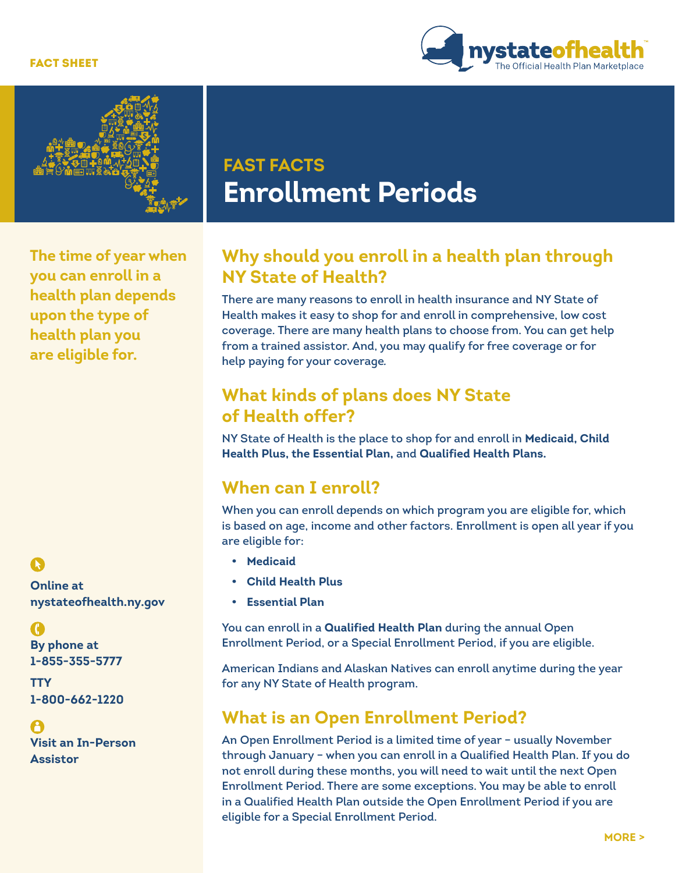#### FACT SHEET





**FAST FACTS Enrollment Periods** 

**The time of year when you can enroll in a health plan depends upon the type of health plan you are eligible for.**

**Online at [nystateofhealth.ny.gov](http://nystateofhealth.ny.gov)**

**By phone at 1-855-355-5777** 

**TTY 1-800-662-1220**

**Visit an In-Person Assistor**

# **Why should you enroll in a health plan through NY State of Health?**

There are many reasons to enroll in health insurance and NY State of Health makes it easy to shop for and enroll in comprehensive, low cost coverage. There are many health plans to choose from. You can get help from a trained assistor. And, you may qualify for free coverage or for help paying for your coverage*.* 

# **What kinds of plans does NY State of Health offer?**

NY State of Health is the place to shop for and enroll in **Medicaid, Child Health Plus, the Essential Plan,** and **Qualified Health Plans.**

#### **When can I enroll?**

When you can enroll depends on which program you are eligible for, which is based on age, income and other factors. Enrollment is open all year if you are eligible for:

- **• Medicaid**
- **• Child Health Plus**
- **• Essential Plan**

You can enroll in a **Qualified Health Plan** during the annual Open Enrollment Period, or a Special Enrollment Period, if you are eligible.

American Indians and Alaskan Natives can enroll anytime during the year for any NY State of Health program.

## **What is an Open Enrollment Period?**

An Open Enrollment Period is a limited time of year – usually November through January – when you can enroll in a Qualified Health Plan. If you do not enroll during these months, you will need to wait until the next Open Enrollment Period. There are some exceptions. You may be able to enroll in a Qualified Health Plan outside the Open Enrollment Period if you are eligible for a Special Enrollment Period.